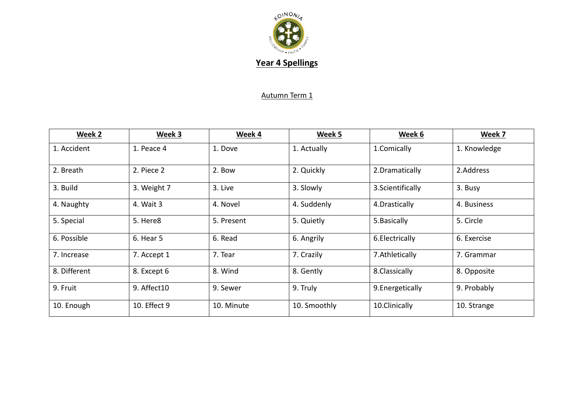

## Autumn Term 1

| Week 2       | Week 3       | Week 4     | Week 5       | Week 6            | Week 7       |
|--------------|--------------|------------|--------------|-------------------|--------------|
| 1. Accident  | 1. Peace 4   | 1. Dove    | 1. Actually  | 1.Comically       | 1. Knowledge |
| 2. Breath    | 2. Piece 2   | 2. Bow     | 2. Quickly   | 2. Dramatically   | 2.Address    |
| 3. Build     | 3. Weight 7  | 3. Live    | 3. Slowly    | 3. Scientifically | 3. Busy      |
| 4. Naughty   | 4. Wait 3    | 4. Novel   | 4. Suddenly  | 4. Drastically    | 4. Business  |
| 5. Special   | 5. Here8     | 5. Present | 5. Quietly   | 5. Basically      | 5. Circle    |
| 6. Possible  | 6. Hear 5    | 6. Read    | 6. Angrily   | 6. Electrically   | 6. Exercise  |
| 7. Increase  | 7. Accept 1  | 7. Tear    | 7. Crazily   | 7. Athletically   | 7. Grammar   |
| 8. Different | 8. Except 6  | 8. Wind    | 8. Gently    | 8. Classically    | 8. Opposite  |
| 9. Fruit     | 9. Affect10  | 9. Sewer   | 9. Truly     | 9. Energetically  | 9. Probably  |
| 10. Enough   | 10. Effect 9 | 10. Minute | 10. Smoothly | 10.Clinically     | 10. Strange  |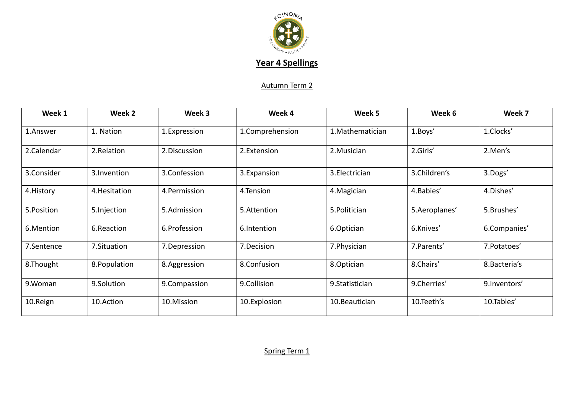

## Autumn Term 2

| Week 1      | Week 2        | Week 3       | Week 4          | Week 5           | Week 6        | Week 7        |
|-------------|---------------|--------------|-----------------|------------------|---------------|---------------|
| 1.Answer    | 1. Nation     | 1.Expression | 1.Comprehension | 1. Mathematician | 1.Boys'       | 1.Clocks'     |
| 2.Calendar  | 2.Relation    | 2.Discussion | 2.Extension     | 2. Musician      | 2.Girls'      | 2.Men's       |
| 3.Consider  | 3. Invention  | 3.Confession | 3.Expansion     | 3. Electrician   | 3.Children's  | 3.Dogs'       |
| 4. History  | 4. Hesitation | 4.Permission | 4.Tension       | 4. Magician      | 4.Babies'     | 4.Dishes'     |
| 5. Position | 5. Injection  | 5.Admission  | 5.Attention     | 5. Politician    | 5.Aeroplanes' | 5.Brushes'    |
| 6.Mention   | 6.Reaction    | 6.Profession | 6.Intention     | 6.Optician       | 6.Knives'     | 6.Companies'  |
| 7.Sentence  | 7.Situation   | 7.Depression | 7.Decision      | 7. Physician     | 7. Parents'   | 7. Potatoes'  |
| 8.Thought   | 8. Population | 8.Aggression | 8.Confusion     | 8.Optician       | 8.Chairs'     | 8. Bacteria's |
| 9.Woman     | 9.Solution    | 9.Compassion | 9.Collision     | 9. Statistician  | 9.Cherries'   | 9.Inventors'  |
| 10.Reign    | 10.Action     | 10.Mission   | 10.Explosion    | 10.Beautician    | 10.Teeth's    | 10.Tables'    |

Spring Term 1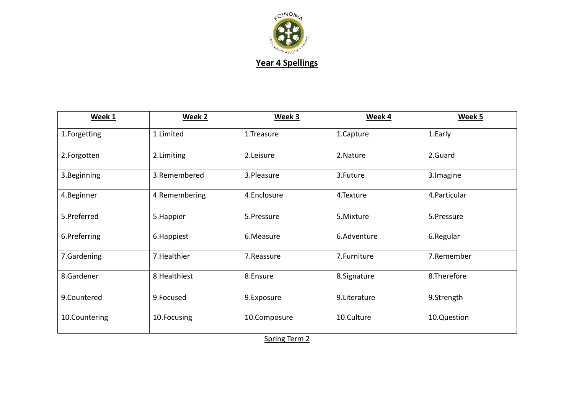

| Week 1        | Week 2        | Week 3       | Week 4        | Week 5        |
|---------------|---------------|--------------|---------------|---------------|
| 1.Forgetting  | 1.Limited     | 1.Treasure   | 1.Capture     | 1. Early      |
| 2.Forgotten   | 2.Limiting    | 2.Leisure    | 2. Nature     | 2.Guard       |
| 3. Beginning  | 3.Remembered  | 3.Pleasure   | 3.Future      | 3. Imagine    |
| 4.Beginner    | 4.Remembering | 4.Enclosure  | 4.Texture     | 4. Particular |
| 5.Preferred   | 5. Happier    | 5.Pressure   | 5.Mixture     | 5.Pressure    |
| 6.Preferring  | 6. Happiest   | 6.Measure    | 6.Adventure   | 6.Regular     |
| 7.Gardening   | 7. Healthier  | 7. Reassure  | 7.Furniture   | 7.Remember    |
| 8.Gardener    | 8. Healthiest | 8.Ensure     | 8.Signature   | 8.Therefore   |
| 9.Countered   | 9.Focused     | 9.Exposure   | 9. Literature | 9.Strength    |
| 10.Countering | 10.Focusing   | 10.Composure | 10.Culture    | 10.Question   |

Spring Term 2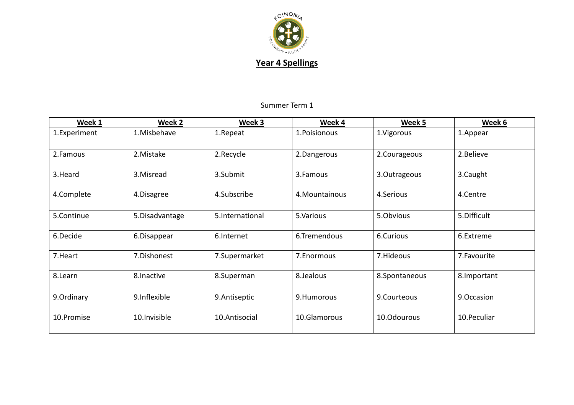

## Summer Term 1

| Week 1       | Week 2          | Week 3          | Week 4         | Week 5        | Week 6       |
|--------------|-----------------|-----------------|----------------|---------------|--------------|
| 1.Experiment | 1.Misbehave     | 1.Repeat        | 1. Poisionous  | 1.Vigorous    | 1.Appear     |
| 2.Famous     | 2. Mistake      | 2.Recycle       | 2.Dangerous    | 2.Courageous  | 2. Believe   |
| 3.Heard      | 3. Misread      | 3.Submit        | 3.Famous       | 3.Outrageous  | 3.Caught     |
| 4.Complete   | 4.Disagree      | 4.Subscribe     | 4. Mountainous | 4.Serious     | 4.Centre     |
| 5.Continue   | 5. Disadvantage | 5.International | 5.Various      | 5.Obvious     | 5. Difficult |
| 6.Decide     | 6.Disappear     | 6.Internet      | 6.Tremendous   | 6.Curious     | 6.Extreme    |
| 7. Heart     | 7.Dishonest     | 7.Supermarket   | 7. Enormous    | 7.Hideous     | 7. Favourite |
| 8.Learn      | 8. Inactive     | 8.Superman      | 8.Jealous      | 8.Spontaneous | 8. Important |
| 9.Ordinary   | 9.Inflexible    | 9. Antiseptic   | 9.Humorous     | 9.Courteous   | 9.Occasion   |
| 10.Promise   | 10.Invisible    | 10.Antisocial   | 10.Glamorous   | 10.Odourous   | 10. Peculiar |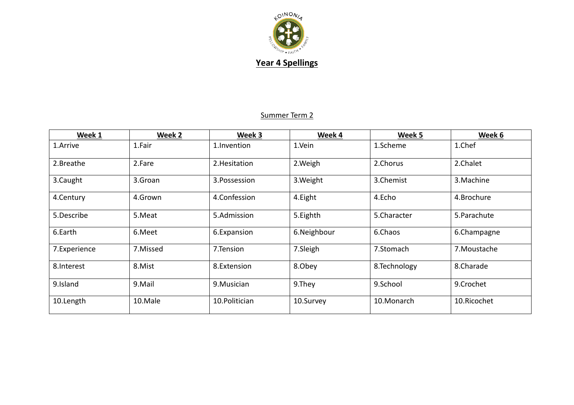

## Summer Term 2

| Week 1       | Week 2   | Week 3         | Week 4      | Week 5       | Week 6       |
|--------------|----------|----------------|-------------|--------------|--------------|
| 1.Arrive     | 1.Fair   | 1.Invention    | 1.Vein      | 1.Scheme     | 1.Chef       |
| 2.Breathe    | 2.Fare   | 2. Hesitation  | 2. Weigh    | 2.Chorus     | 2.Chalet     |
| 3.Caught     | 3.Groan  | 3. Possession  | 3. Weight   | 3.Chemist    | 3. Machine   |
| 4.Century    | 4.Grown  | 4.Confession   | 4. Eight    | 4.Echo       | 4.Brochure   |
| 5.Describe   | 5.Meat   | 5.Admission    | 5. Eighth   | 5.Character  | 5. Parachute |
| 6.Earth      | 6.Meet   | 6.Expansion    | 6.Neighbour | 6.Chaos      | 6.Champagne  |
| 7.Experience | 7.Missed | 7.Tension      | 7.Sleigh    | 7.Stomach    | 7. Moustache |
| 8.Interest   | 8.Mist   | 8.Extension    | 8.Obey      | 8.Technology | 8.Charade    |
| 9.Island     | 9.Mail   | 9. Musician    | 9.They      | 9.School     | 9.Crochet    |
| 10.Length    | 10.Male  | 10. Politician | 10.Survey   | 10.Monarch   | 10.Ricochet  |